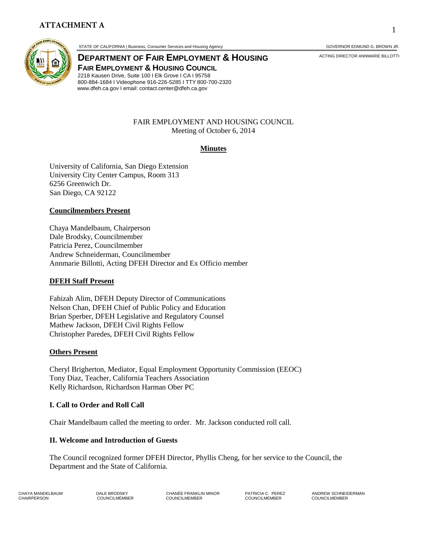

STATE OF CALIFORNIA | Business, Consumer Services and Housing Agency GOVERNOR EDMUND G. BROWN JR.

**DEPARTMENT OF FAIR EMPLOYMENT & HOUSING** ACTING DIRECTOR ANNMARIE BILLOTTI **FAIR EMPLOYMENT & HOUSING COUNCIL** 2218 Kausen Drive, Suite 100 I Elk Grove I CA I 95758 800-884-1684 I Videophone 916-226-5285 I TTY 800-700-2320 www.dfeh.ca.gov I email: contact.center@dfeh.ca.gov

#### FAIR EMPLOYMENT AND HOUSING COUNCIL Meeting of October 6, 2014

## **Minutes**

University of California, San Diego Extension University City Center Campus, Room 313 6256 Greenwich Dr. San Diego, CA 92122

### **Councilmembers Present**

Chaya Mandelbaum, Chairperson Dale Brodsky, Councilmember Patricia Perez, Councilmember Andrew Schneiderman, Councilmember Annmarie Billotti, Acting DFEH Director and Ex Officio member

### **DFEH Staff Present**

Fahizah Alim, DFEH Deputy Director of Communications Nelson Chan, DFEH Chief of Public Policy and Education Brian Sperber, DFEH Legislative and Regulatory Counsel Mathew Jackson, DFEH Civil Rights Fellow Christopher Paredes, DFEH Civil Rights Fellow

### **Others Present**

Cheryl Brigherton, Mediator, Equal Employment Opportunity Commission (EEOC) Tony Diaz, Teacher, California Teachers Association Kelly Richardson, Richardson Harman Ober PC

### **I. Call to Order and Roll Call**

Chair Mandelbaum called the meeting to order. Mr. Jackson conducted roll call.

### **II. Welcome and Introduction of Guests**

The Council recognized former DFEH Director, Phyllis Cheng, for her service to the Council, the Department and the State of California.

CHAYA MANDELBAUM DALE BRODSKY CHANÉE FRANKLIN MINOR PATRICIA C. PEREZ ANDREW SCHNEIDERMAN CHAIRPERSON COUNCILMEMBER COUNCILMEMBER COUNCILMEMBER COUNCILMEMBER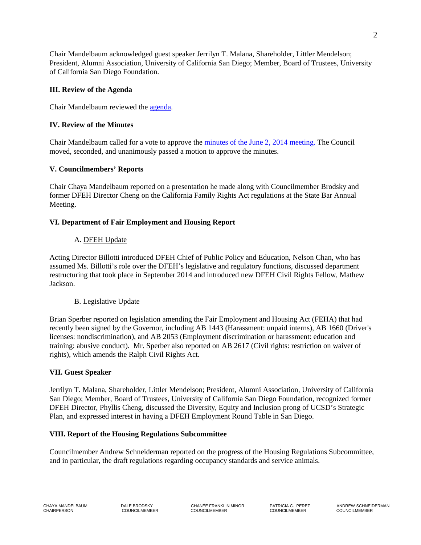Chair Mandelbaum acknowledged guest speaker Jerrilyn T. Malana, Shareholder, Littler Mendelson; President, Alumni Association, University of California San Diego; Member, Board of Trustees, University of California San Diego Foundation.

## **III. Review of the Agenda**

Chair Mandelbaum reviewed the [agenda.](http://www.dfeh.ca.gov/res/docs/Council/10-6-14%20Meeting/Notice%20and%20Agenda%2010-6-14.pdf)

# **IV. Review of the Minutes**

Chair Mandelbaum called for a vote to approve the [minutes of the June 2, 2014 meeting.](http://www.dfeh.ca.gov/res/docs/Council/6-2-14/6-2-14%20FEH%20Council%20Meeting%20Minutes%20Final.pdf) The Council moved, seconded, and unanimously passed a motion to approve the minutes.

# **V. Councilmembers' Reports**

Chair Chaya Mandelbaum reported on a presentation he made along with Councilmember Brodsky and former DFEH Director Cheng on the California Family Rights Act regulations at the State Bar Annual Meeting.

# **VI. Department of Fair Employment and Housing Report**

# A. DFEH Update

Acting Director Billotti introduced DFEH Chief of Public Policy and Education, Nelson Chan, who has assumed Ms. Billotti's role over the DFEH's legislative and regulatory functions, discussed department restructuring that took place in September 2014 and introduced new DFEH Civil Rights Fellow, Mathew Jackson.

## B. Legislative Update

Brian Sperber reported on legislation amending the Fair Employment and Housing Act (FEHA) that had recently been signed by the Governor, including AB 1443 (Harassment: unpaid interns), AB 1660 (Driver's licenses: nondiscrimination), and AB 2053 (Employment discrimination or harassment: education and training: abusive conduct). Mr. Sperber also reported on AB 2617 (Civil rights: restriction on waiver of rights), which amends the Ralph Civil Rights Act.

## **VII. Guest Speaker**

Jerrilyn T. Malana, Shareholder, Littler Mendelson; President, Alumni Association, University of California San Diego; Member, Board of Trustees, University of California San Diego Foundation, recognized former DFEH Director, Phyllis Cheng, discussed the Diversity, Equity and Inclusion prong of UCSD's Strategic Plan, and expressed interest in having a DFEH Employment Round Table in San Diego.

## **VIII. Report of the Housing Regulations Subcommittee**

Councilmember Andrew Schneiderman reported on the progress of the Housing Regulations Subcommittee, and in particular, the draft regulations regarding occupancy standards and service animals.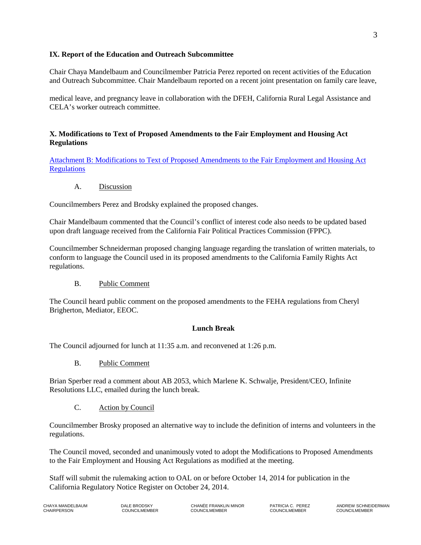### **IX. Report of the Education and Outreach Subcommittee**

Chair Chaya Mandelbaum and Councilmember Patricia Perez reported on recent activities of the Education and Outreach Subcommittee. Chair Mandelbaum reported on a recent joint presentation on family care leave,

medical leave, and pregnancy leave in collaboration with the DFEH, California Rural Legal Assistance and CELA's worker outreach committee.

### **X. Modifications to Text of Proposed Amendments to the Fair Employment and Housing Act Regulations**

[Attachment B: Modifications to Text of Proposed Amendments to the Fair Employment and Housing Act](http://www.dfeh.ca.gov/res/docs/Council/10-6-14%20Meeting/Attachment%20B%20Modifications%20to%20FEHA%20Employment%20Regs.pdf)  **[Regulations](http://www.dfeh.ca.gov/res/docs/Council/10-6-14%20Meeting/Attachment%20B%20Modifications%20to%20FEHA%20Employment%20Regs.pdf)** 

A. Discussion

Councilmembers Perez and Brodsky explained the proposed changes.

Chair Mandelbaum commented that the Council's conflict of interest code also needs to be updated based upon draft language received from the California Fair Political Practices Commission (FPPC).

Councilmember Schneiderman proposed changing language regarding the translation of written materials, to conform to language the Council used in its proposed amendments to the California Family Rights Act regulations.

B. Public Comment

The Council heard public comment on the proposed amendments to the FEHA regulations from Cheryl Brigherton, Mediator, EEOC.

### **Lunch Break**

The Council adjourned for lunch at 11:35 a.m. and reconvened at 1:26 p.m.

B. Public Comment

Brian Sperber read a comment about AB 2053, which Marlene K. Schwalje, President/CEO, Infinite Resolutions LLC, emailed during the lunch break.

C. Action by Council

Councilmember Brosky proposed an alternative way to include the definition of interns and volunteers in the regulations.

The Council moved, seconded and unanimously voted to adopt the Modifications to Proposed Amendments to the Fair Employment and Housing Act Regulations as modified at the meeting.

Staff will submit the rulemaking action to OAL on or before October 14, 2014 for publication in the California Regulatory Notice Register on October 24, 2014.